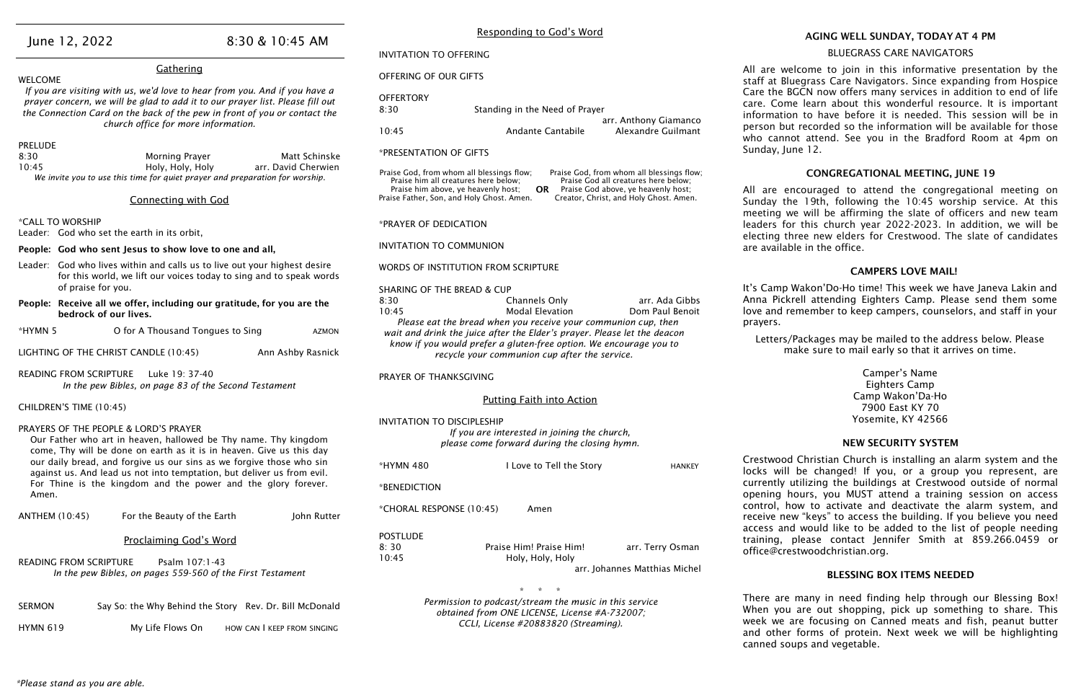#### Gathering

WELCOME

*If you are visiting with us, we'd love to hear from you. And if you have a prayer concern, we will be glad to add it to our prayer list. Please fill out the Connection Card on the back of the pew in front of you or contact the church office for more information.*

#### PRELUDE

- Leader: God who lives within and calls us to live out your highest desire for this world, we lift our voices today to sing and to speak words of praise for you.
- People: Receive all we offer, including our gratitude, for you are the bedrock of our lives.
- \*HYMN 5 O for A Thousand Tongues to Sing AZMON
- LIGHTING OF THE CHRIST CANDLE (10:45) Ann Ashby Rasnick

| 8:30  | Morning Prayer                                                               | Matt Schinske       |
|-------|------------------------------------------------------------------------------|---------------------|
| 10:45 | Holy, Holy, Holy                                                             | arr. David Cherwien |
|       | We invite you to use this time for quiet prayer and preparation for worship. |                     |

#### Connecting with God

\*CALL TO WORSHIP

Leader: God who set the earth in its orbit,

#### People: God who sent Jesus to show love to one and all.

| <b>OFFERTORY</b> |                                |                       |
|------------------|--------------------------------|-----------------------|
| 8:30             | Standing in the Need of Prayer |                       |
|                  |                                | arr. Anthony Giamanco |
| 10:45            | Andante Cantabile              | Alexandre Guilmant    |

READING FROM SCRIPTURE Luke 19: 37-40 *In the pew Bibles, on page 83 of the Second Testament*

#### CHILDREN'S TIME (10:45)

#### PRAYERS OF THE PEOPLE & LORD'S PRAYER

Our Father who art in heaven, hallowed be Thy name. Thy kingdom come, Thy will be done on earth as it is in heaven. Give us this day our daily bread, and forgive us our sins as we forgive those who sin against us. And lead us not into temptation, but deliver us from evil. For Thine is the kingdom and the power and the glory forever. Amen.

Praise God, from whom all blessings flow; Praise him all creatures here below; Praise him above, ye heavenly host; Praise Father, Son, and Holy Ghost. Amen. Praise God, from whom all blessings flow; Praise God all creatures here below; Praise God above, ye heavenly host; Creator, Christ, and Holy Ghost. Amen. **OR** 

| <b>ANTHEM (10:45)</b>                                                                                  | For the Beauty of the Earth   | John Rutter |
|--------------------------------------------------------------------------------------------------------|-------------------------------|-------------|
|                                                                                                        | <b>Proclaiming God's Word</b> |             |
| Psalm 107:1-43<br>READING FROM SCRIPTURE<br>In the pew Bibles, on pages 559-560 of the First Testament |                               |             |

| <b>SERMON</b>   | Say So: the Why Behind the Story Rev. Dr. Bill McDonald |                             |
|-----------------|---------------------------------------------------------|-----------------------------|
| <b>HYMN 619</b> | My Life Flows On                                        | HOW CAN I KEEP FROM SINGING |

## June 12, 2022 8:30 & 10:45 AM

#### Responding to God's Word

INVITATION TO OFFERING

#### OFFERING OF OUR GIFTS

#### \*PRESENTATION OF GIFTS

\*PRAYER OF DEDICATION

INVITATION TO COMMUNION

#### WORDS OF INSTITUTION FROM SCRIPTURE

| <b>SHARING OF THE BREAD &amp; CUP</b>                                    |                                                                |                 |
|--------------------------------------------------------------------------|----------------------------------------------------------------|-----------------|
| 8:30                                                                     | Channels Only                                                  | arr. Ada Gibbs  |
| 10:45                                                                    | <b>Modal Elevation</b>                                         | Dom Paul Benoit |
|                                                                          | Please eat the bread when you receive your communion cup, then |                 |
| wait and drink the juice after the Elder's prayer. Please let the deacon |                                                                |                 |
| know if you would prefer a gluten-free option. We encourage you to       |                                                                |                 |
| recycle your communion cup after the service.                            |                                                                |                 |

Crestwood Christian Church is installing an alarm system and the ks will be changed! If you, or a group you represent, are rently utilizing the buildings at Crestwood outside of normal ening hours, you MUST attend a training session on access ntrol, how to activate and deactivate the alarm system, and reive new "keys" to access the building. If you believe you need cess and would like to be added to the list of people needing ining, please contact Jennifer Smith at 859.266.0459 or ice@crestwoodchristian.org.

PRAYER OF THANKSGIVING

#### Putting Faith into Action

#### INVITATION TO DISCIPLESHIP

*If you are interested in joining the church, please come forward during the closing hymn.*

| *HYMN 480                | I Love to Tell the Story | <b>HANKEY</b>                 | ᄓ<br>loc |
|--------------------------|--------------------------|-------------------------------|----------|
| *BENEDICTION             |                          |                               | cur      |
|                          |                          |                               | op(      |
| *CHORAL RESPONSE (10:45) | Amen                     |                               | cor      |
|                          |                          |                               | rec      |
|                          |                          |                               | acc      |
| <b>POSTLUDE</b>          |                          |                               | tra      |
| 8:30                     | Praise Him! Praise Him!  | arr. Terry Osman              | off      |
| 10:45                    | Holy, Holy, Holy         |                               |          |
|                          |                          | arr. Johannes Matthias Michel |          |
|                          |                          |                               |          |

#### \* \* \* *Permission to podcast/stream the music in this service obtained from ONE LICENSE, License #A-732007; CCLI, License #20883820 (Streaming).*

#### AGING WELL SUNDAY, TODAY AT 4 PM BLUEGRASS CARE NAVIGATORS

All are welcome to join in this informative presentation by the staff at Bluegrass Care Navigators. Since expanding from Hospice Care the BGCN now offers many services in addition to end of life care. Come learn about this wonderful resource. It is important information to have before it is needed. This session will be in person but recorded so the information will be available for those who cannot attend. See you in the Bradford Room at 4pm on Sunday, June 12.

#### CONGREGATIONAL MEETING, JUNE 19

All are encouraged to attend the congregational meeting on Sunday the 19th, following the 10:45 worship service. At this meeting we will be affirming the slate of officers and new team leaders for this church year 2022-2023. In addition, we will be electing three new elders for Crestwood. The slate of candidates are available in the office.

#### CAMPERS LOVE MAIL!

It's Camp Wakon'Do-Ho time! This week we have Janeva Lakin and Anna Pickrell attending Eighters Camp. Please send them some love and remember to keep campers, counselors, and staff in your prayers.

Letters/Packages may be mailed to the address below. Please make sure to mail early so that it arrives on time.

> Camper's Name Eighters Camp Camp Wakon'Da-Ho 7900 East KY 70 Yosemite, KY 42566

#### NEW SECURITY SYSTEM

#### BLESSING BOX ITEMS NEEDED

There are many in need finding help through our Blessing Box! When you are out shopping, pick up something to share. This week we are focusing on Canned meats and fish, peanut butter and other forms of protein. Next week we will be highlighting canned soups and vegetable.